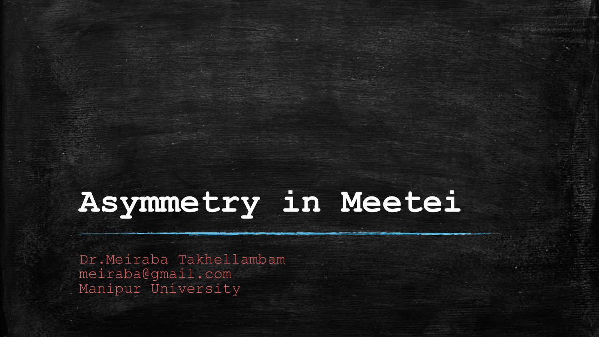# **Asymmetry in Meetei**

Dr.Meiraba Takhellambam meiraba@gmail.com Manipur University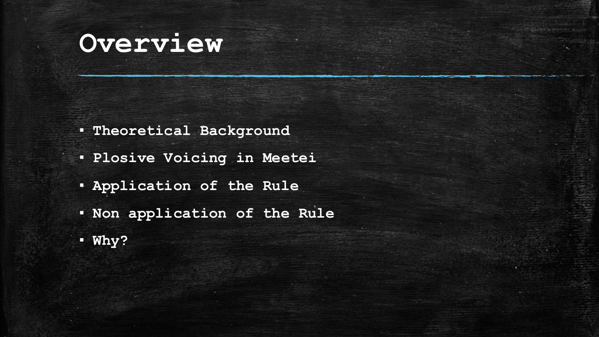# **Overview**

- **Theoretical Background**
- **Plosive Voicing in Meetei**
- **Application of the Rule**
- **Non application of the Rule**
- **Why?**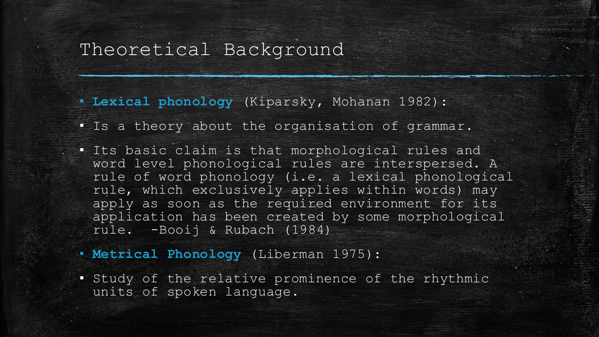#### Theoretical Background

▪ **Lexical phonology** (Kiparsky, Mohanan 1982):

- Is a theory about the organisation of grammar.
- Its basic claim is that morphological rules and word level phonological rules are interspersed. A rule of word phonology (i.e. a lexical phonological rule, which exclusively applies within words) may apply as soon as the required environment for its application has been created by some morphological rule. -Booij & Rubach (1984)
- **Metrical Phonology** (Liberman 1975):
- Study of the relative prominence of the rhythmic units of spoken language.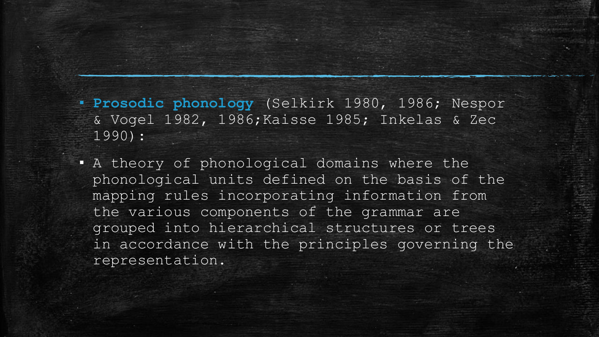▪ **Prosodic phonology** (Selkirk 1980, 1986; Nespor & Vogel 1982, 1986;Kaisse 1985; Inkelas & Zec 1990):

A theory of phonological domains where the phonological units defined on the basis of the mapping rules incorporating information from the various components of the grammar are grouped into hierarchical structures or trees in accordance with the principles governing the representation.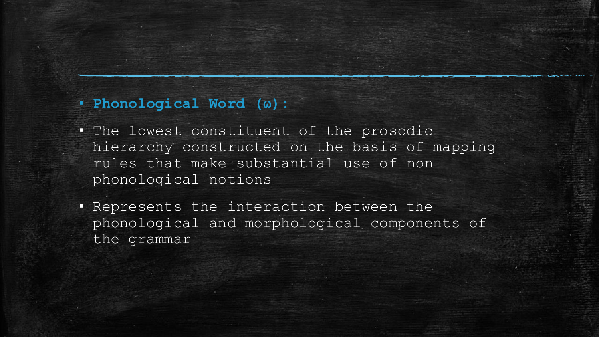#### ▪ **Phonological Word (ω):**

- The lowest constituent of the prosodic hierarchy constructed on the basis of mapping rules that make substantial use of non phonological notions
- **.** Represents the interaction between the phonological and morphological components of the grammar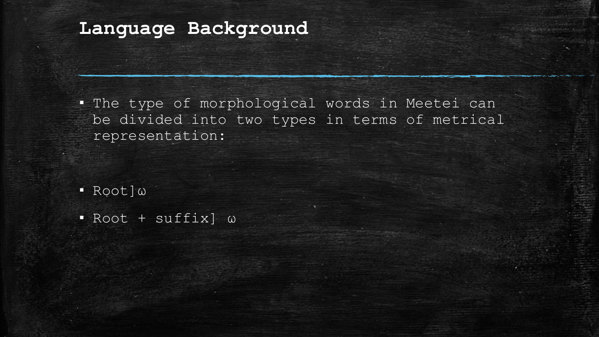#### **Language Background**

▪ The type of morphological words in Meetei can be divided into two types in terms of metrical representation:

▪ Root]ω

▪ Root + suffix] ω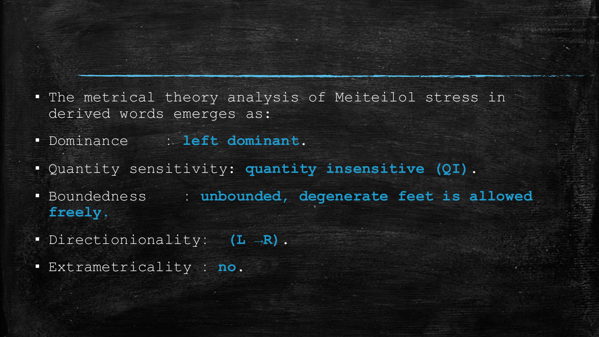- The metrical theory analysis of Meiteilol stress in derived words emerges as:
- Dominance ː **left dominant**.
- Quantity sensitivity: **quantity insensitive (QI)**.
- Boundedness ː **unbounded, degenerate feet is allowed freely**.
- Directionionalityː **(L →R)**.
- Extrametricality ː **no**.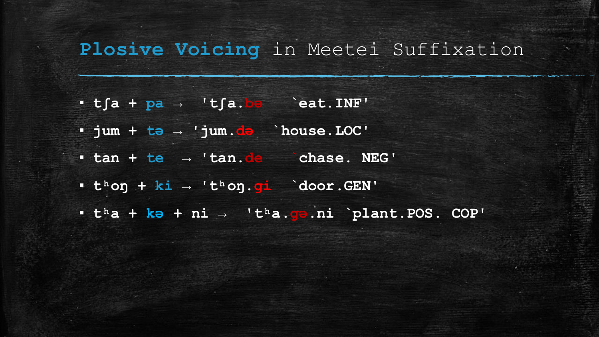#### Plosive Voicing in Meetei Suffixation

- **tʃa + pa → 'tʃa.bə `eat.INF'**
- **jum + tə → 'jum.də `house.LOC'**
- **tan + te → 'tan.de `chase. NEG'**
- **tʰoŋ + ki → 'tʰoŋ.ɡi `door.GEN'**
- **tʰa + kə + ni → 'tʰa.ɡə.ni `plant.POS. COP'**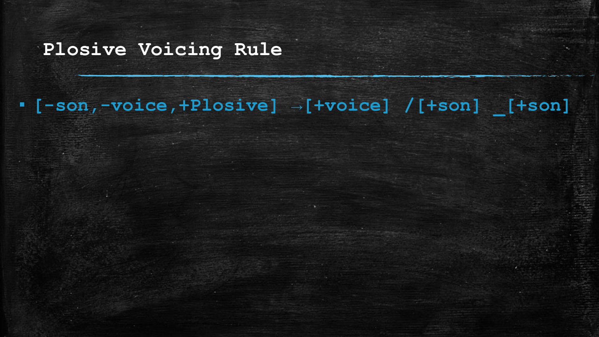#### **Plosive Voicing Rule**

## ▪ **[-son,-voice,+Plosive] →[+voice] /[+son] \_[+son]**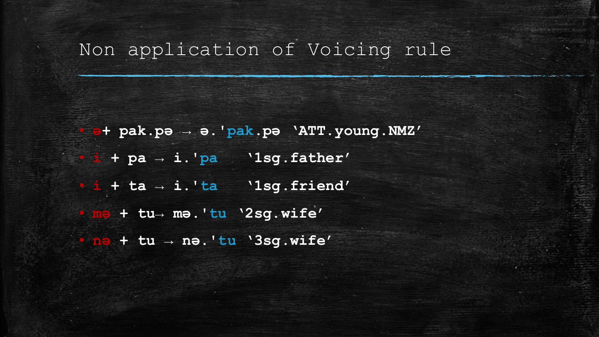#### Non application of Voicing rule

▪ **ə+ pak.pə → ə.'pak.pə 'ATT.young.NMZ'** ▪ **i + pa → i.'pa '1sg.father'** ▪ **i + ta → i.'ta '1sg.friend'** ▪ **mə + tu→ mə.'tu '2sg.wife'** ▪ **nə + tu → nə.'tu '3sg.wife'**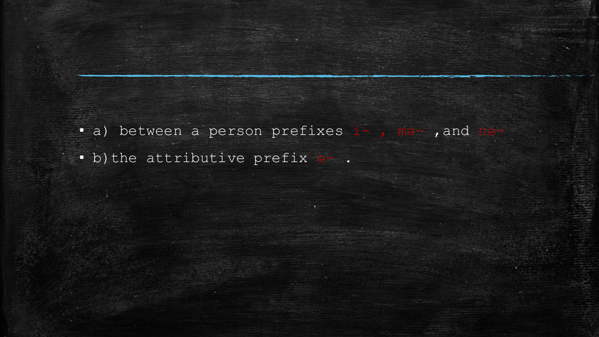- · a) between a person prefixes i-, ma-, and
- · b) the attributive prefix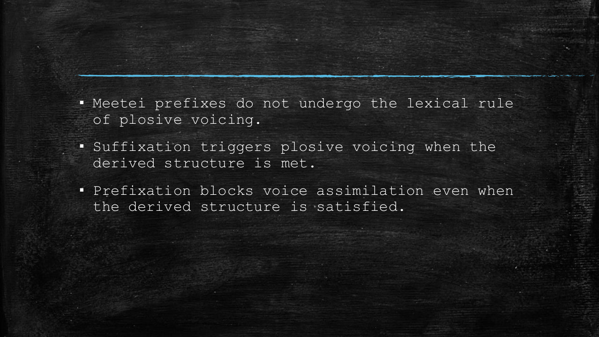▪ Meetei prefixes do not undergo the lexical rule of plosive voicing.

- Suffixation triggers plosive voicing when the derived structure is met.
- **· Prefixation blocks voice assimilation even when** the derived structure is satisfied.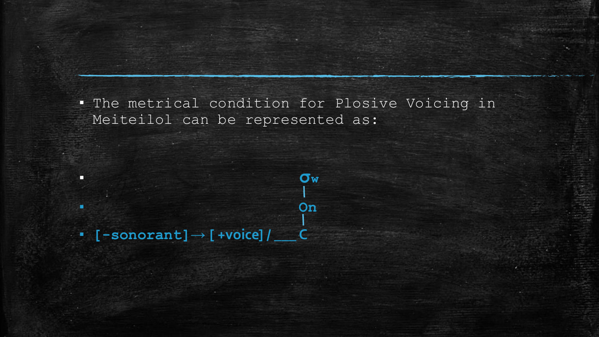▪ The metrical condition for Plosive Voicing in Meiteilol can be represented as:

▪ **[-sonorant]→ [ +voice] / \_\_\_ C**

▪ **σ<sup>w</sup>**

▪ **On**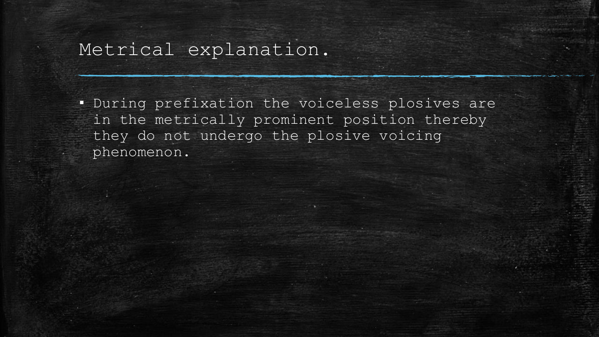### Metrical explanation.

▪ During prefixation the voiceless plosives are in the metrically prominent position thereby they do not undergo the plosive voicing phenomenon.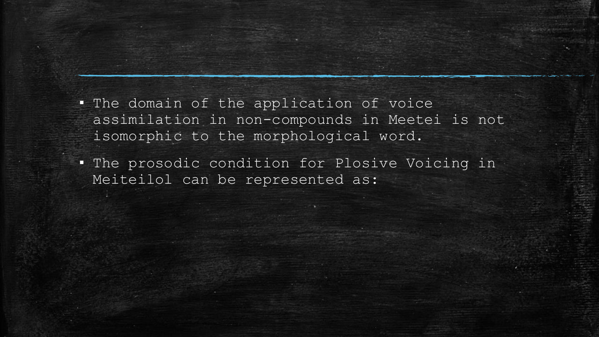- The domain of the application of voice assimilation in non-compounds in Meetei is not isomorphic to the morphological word.
- The prosodic condition for Plosive Voicing in Meiteilol can be represented as: